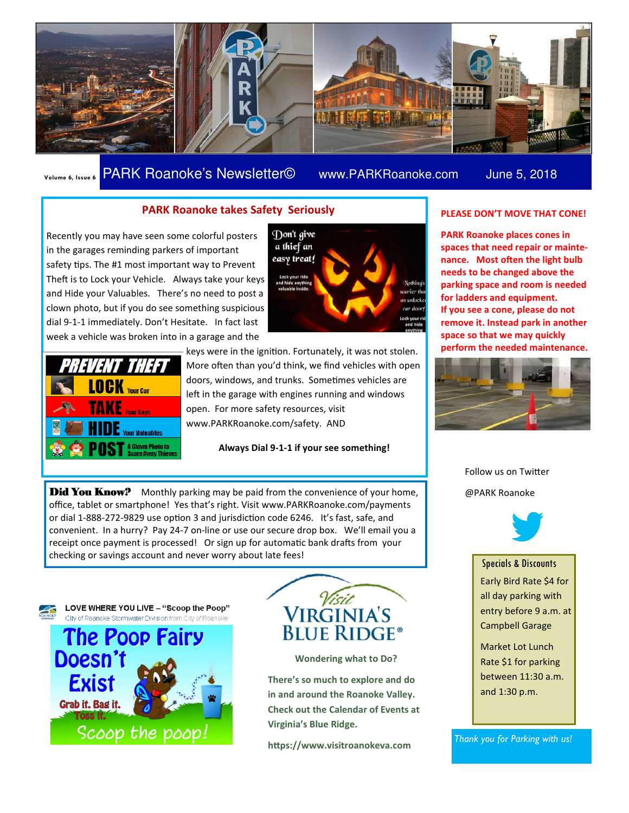

### Volume 6, Issue 6 PARK Roanoke's Newsletter© www.PARKRoanoke.com June 5, 2018

#### PARK Roanoke takes Safety Seriously

Recently you may have seen some colorful posters in the garages reminding parkers of important safety tips. The #1 most important way to Prevent Theft is to Lock your Vehicle. Always take your keys and Hide your Valuables. There's no need to post a clown photo, but if you do see something suspicious dial 9-1-1 immediately. Don't Hesitate. In fact last week a vehicle was broken into in a garage and the



Don't give a thief an easy treat!

keys were in the ignition. Fortunately, it was not stolen. More often than you'd think, we find vehicles with open doors, windows, and trunks. Sometimes vehicles are left in the garage with engines running and windows open. For more safety resources, visit www.PARKRoanoke.com/safety. AND

Always Dial 9-1-1 if your see something!

**Did You Know?** Monthly parking may be paid from the convenience of your home, office, tablet or smartphone! Yes that's right. Visit www.PARKRoanoke.com/payments or dial 1-888-272-9829 use option 3 and jurisdiction code 6246. It's fast, safe, and convenient. In a hurry? Pay 24-7 on-line or use our secure drop box. We'll email you a receipt once payment is processed! Or sign up for automatic bank drafts from your checking or savings account and never worry about late fees!



LOVE WHERE YOU LIVE - "Scoop the Poop" City of Roanoke Stormwater Division from City of Roano





Wondering what to Do?

There's so much to explore and do in and around the Roanoke Valley. Check out the Calendar of Events at Virginia's Blue Ridge.

https://www.visitroanokeva.com

#### PLEASE DON'T MOVE THAT CONE!

PARK Roanoke places cones in spaces that need repair or maintenance. Most often the light bulb needs to be changed above the parking space and room is needed for ladders and equipment. If you see a cone, please do not remove it. Instead park in another space so that we may quickly perform the needed maintenance.



Follow us on Twitter @PARK Roanoke



Specials & Discounts

Early Bird Rate \$4 for all day parking with entry before 9 a.m. at Campbell Garage

Market Lot Lunch Rate \$1 for parking between 11:30 a.m. and 1:30 p.m.

Thank you for Parking with us!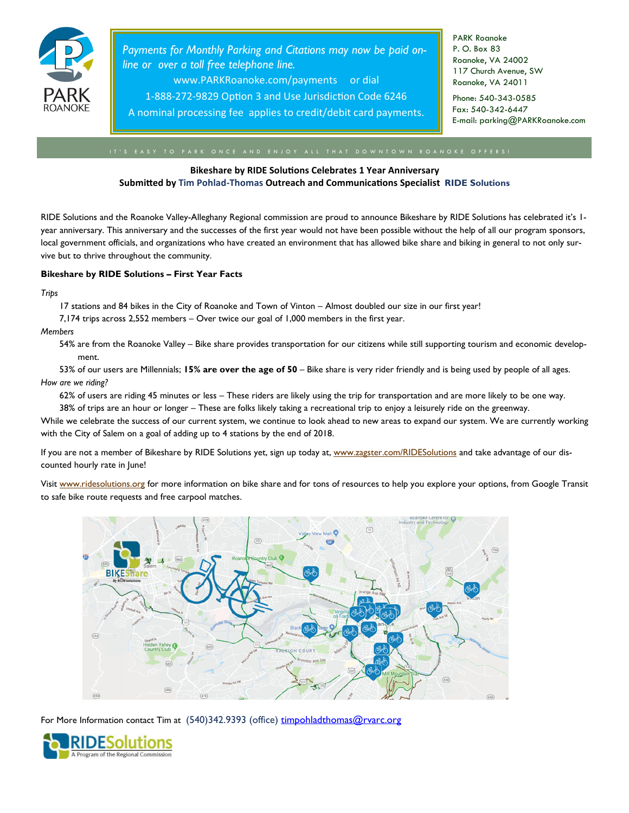

Payments for Monthly Parking and Citations may now be paid online or over a toll free telephone line.

www.PARKRoanoke.com/payments or dial

1-888-272-9829 Option 3 and Use Jurisdiction Code 6246

A nominal processing fee applies to credit/debit card payments.

PARK Roanoke P. O. Box 83 Roanoke, VA 24002 117 Church Avenue, SW Roanoke, VA 24011

Phone: 540-343-0585 Fax: 540-342-6447 E-mail: parking@PARKRoanoke.com

#### Bikeshare by RIDE Solutions Celebrates 1 Year Anniversary Submitted by Tim Pohlad-Thomas Outreach and Communications Specialist RIDE Solutions

RIDE Solutions and the Roanoke Valley-Alleghany Regional commission are proud to announce Bikeshare by RIDE Solutions has celebrated it's 1 year anniversary. This anniversary and the successes of the first year would not have been possible without the help of all our program sponsors, local government officials, and organizations who have created an environment that has allowed bike share and biking in general to not only survive but to thrive throughout the community.

#### Bikeshare by RIDE Solutions – First Year Facts

**Trips** 

17 stations and 84 bikes in the City of Roanoke and Town of Vinton – Almost doubled our size in our first year!

7,174 trips across 2,552 members – Over twice our goal of 1,000 members in the first year.

#### **Members**

54% are from the Roanoke Valley – Bike share provides transportation for our citizens while still supporting tourism and economic development.

53% of our users are Millennials; 15% are over the age of 50 – Bike share is very rider friendly and is being used by people of all ages. How are we riding?

62% of users are riding 45 minutes or less – These riders are likely using the trip for transportation and are more likely to be one way.

38% of trips are an hour or longer – These are folks likely taking a recreational trip to enjoy a leisurely ride on the greenway.

While we celebrate the success of our current system, we continue to look ahead to new areas to expand our system. We are currently working with the City of Salem on a goal of adding up to 4 stations by the end of 2018.

If you are not a member of Bikeshare by RIDE Solutions yet, sign up today at, www.zagster.com/RIDESolutions and take advantage of our discounted hourly rate in June!

Visit www.ridesolutions.org for more information on bike share and for tons of resources to help you explore your options, from Google Transit to safe bike route requests and free carpool matches.



For More Information contact Tim at (540)342.9393 (office) timpohladthomas@rvarc.org